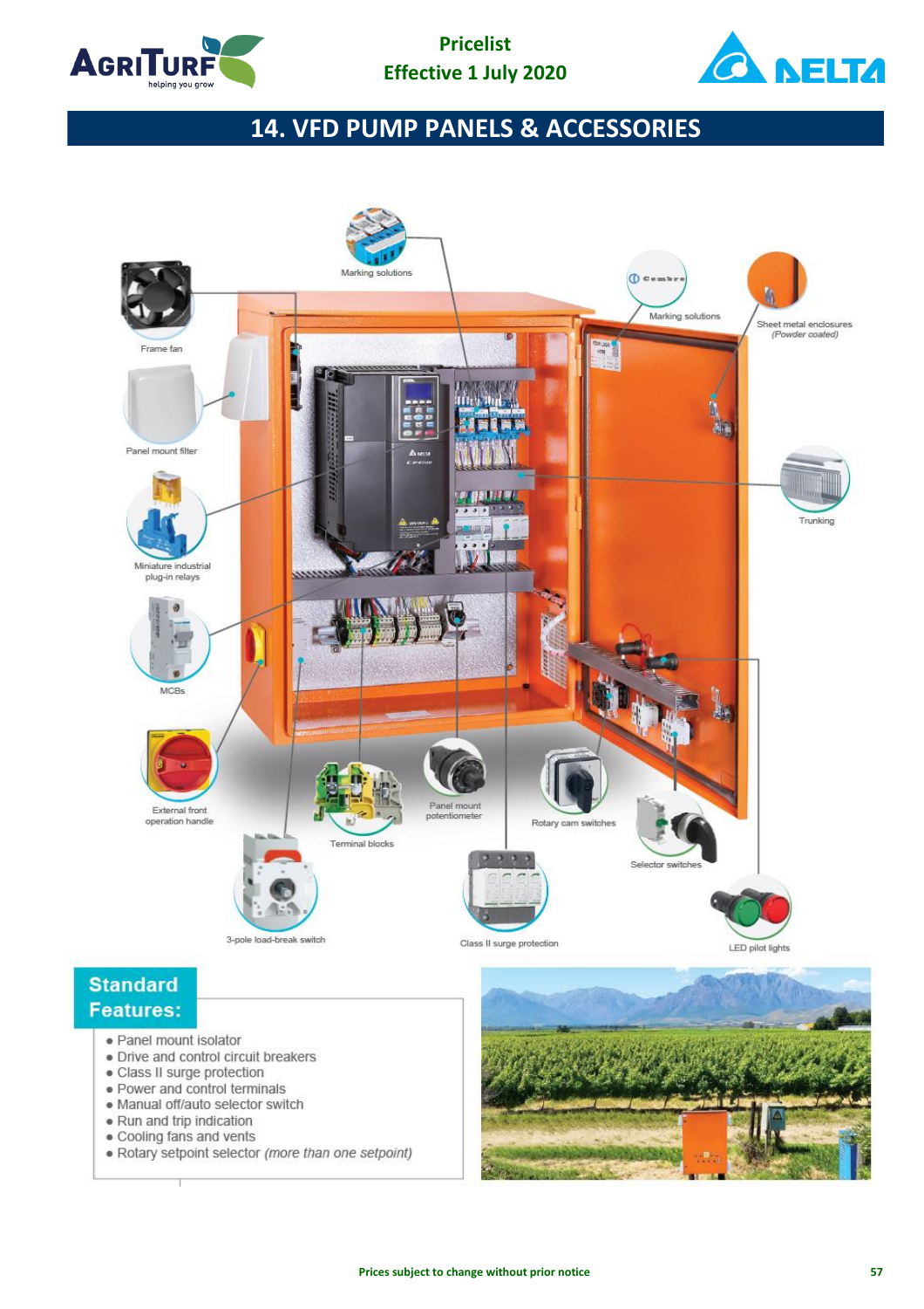



## **14. VFD PUMP PANELS & ACCESSORIES**



· Rotary setpoint selector (more than one setpoint)